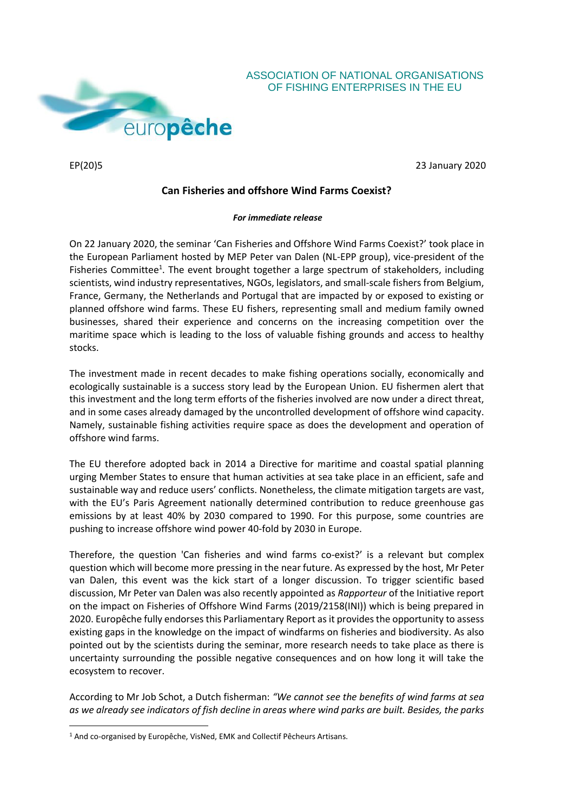

**.** 

EP(20)5 23 January 2020

OF FISHING ENTERPRISES IN THE EU

## **Can Fisheries and offshore Wind Farms Coexist?**

## *For immediate release*

On 22 January 2020, the seminar 'Can Fisheries and Offshore Wind Farms Coexist?' took place in the European Parliament hosted by MEP Peter van Dalen (NL-EPP group), vice-president of the Fisheries Committee<sup>1</sup>. The event brought together a large spectrum of stakeholders, including scientists, wind industry representatives, NGOs, legislators, and small-scale fishers from Belgium, France, Germany, the Netherlands and Portugal that are impacted by or exposed to existing or planned offshore wind farms. These EU fishers, representing small and medium family owned businesses, shared their experience and concerns on the increasing competition over the maritime space which is leading to the loss of valuable fishing grounds and access to healthy stocks.

The investment made in recent decades to make fishing operations socially, economically and ecologically sustainable is a success story lead by the European Union. EU fishermen alert that this investment and the long term efforts of the fisheries involved are now under a direct threat, and in some cases already damaged by the uncontrolled development of offshore wind capacity. Namely, sustainable fishing activities require space as does the development and operation of offshore wind farms.

The EU therefore adopted back in 2014 a Directive for maritime and coastal spatial planning urging Member States to ensure that human activities at sea take place in an efficient, safe and sustainable way and reduce users' conflicts. Nonetheless, the climate mitigation targets are vast, with the EU's Paris Agreement nationally determined contribution to reduce greenhouse gas emissions by at least 40% by 2030 compared to 1990. For this purpose, some countries are pushing to increase offshore wind power 40-fold by 2030 in Europe.

Therefore, the question 'Can fisheries and wind farms co-exist?' is a relevant but complex question which will become more pressing in the near future. As expressed by the host, Mr Peter van Dalen, this event was the kick start of a longer discussion. To trigger scientific based discussion, Mr Peter van Dalen was also recently appointed as *Rapporteur* of the Initiative report on the impact on Fisheries of Offshore Wind Farms (2019/2158(INI)) which is being prepared in 2020. Europêche fully endorses this Parliamentary Report as it provides the opportunity to assess existing gaps in the knowledge on the impact of windfarms on fisheries and biodiversity. As also pointed out by the scientists during the seminar, more research needs to take place as there is uncertainty surrounding the possible negative consequences and on how long it will take the ecosystem to recover.

According to Mr Job Schot, a Dutch fisherman: *"We cannot see the benefits of wind farms at sea as we already see indicators of fish decline in areas where wind parks are built. Besides, the parks* 

<sup>1</sup> And co-organised by Europêche, VisNed, EMK and Collectif Pêcheurs Artisans.